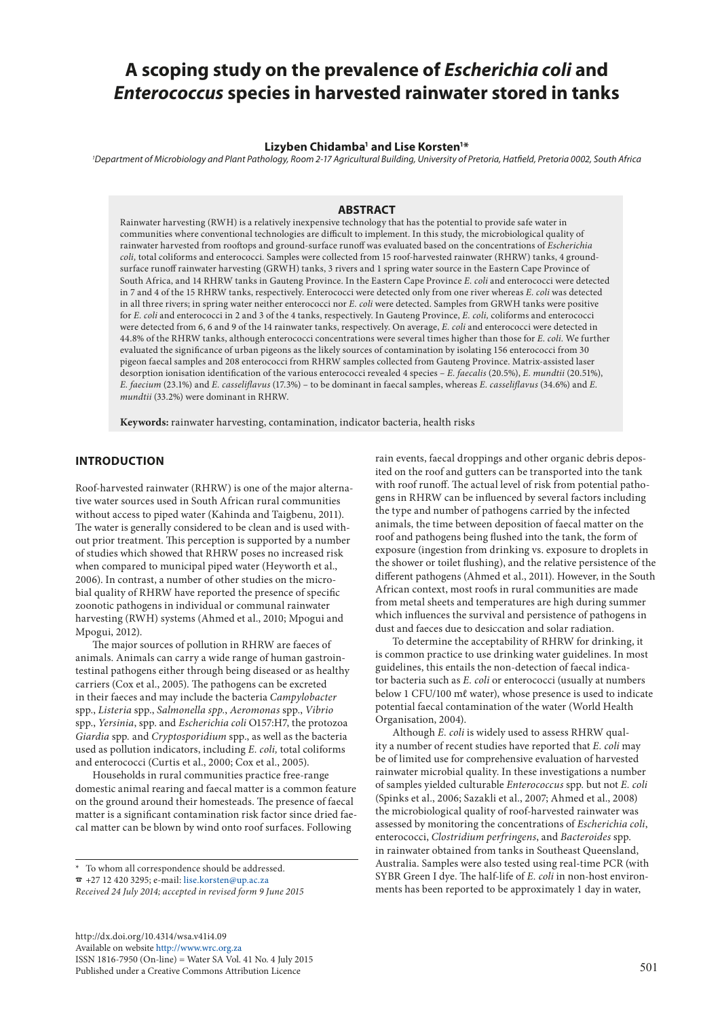# **A scoping study on the prevalence of** *Escherichia coli* **and**  *Enterococcus* **species in harvested rainwater stored in tanks**

#### Lizyben Chidamba<sup>1</sup> and Lise Korsten<sup>1\*</sup>

*1 Department of Microbiology and Plant Pathology, Room 2-17 Agricultural Building, University of Pretoria, Hatfield, Pretoria 0002, South Africa* 

## **ABSTRACT**

Rainwater harvesting (RWH) is a relatively inexpensive technology that has the potential to provide safe water in communities where conventional technologies are difficult to implement. In this study, the microbiological quality of rainwater harvested from rooftops and ground-surface runoff was evaluated based on the concentrations of *Escherichia coli,* total coliforms and enterococci*.* Samples were collected from 15 roof-harvested rainwater (RHRW) tanks, 4 groundsurface runoff rainwater harvesting (GRWH) tanks, 3 rivers and 1 spring water source in the Eastern Cape Province of South Africa, and 14 RHRW tanks in Gauteng Province. In the Eastern Cape Province *E. coli* and enterococci were detected in 7 and 4 of the 15 RHRW tanks, respectively. Enterococci were detected only from one river whereas *E. coli* was detected in all three rivers; in spring water neither enterococci nor *E. coli* were detected. Samples from GRWH tanks were positive for *E. coli* and enterococci in 2 and 3 of the 4 tanks, respectively. In Gauteng Province, *E. coli,* coliforms and enterococci were detected from 6, 6 and 9 of the 14 rainwater tanks, respectively. On average, *E. coli* and enterococci were detected in 44.8% of the RHRW tanks, although enterococci concentrations were several times higher than those for *E. coli.* We further evaluated the significance of urban pigeons as the likely sources of contamination by isolating 156 enterococci from 30 pigeon faecal samples and 208 enterococci from RHRW samples collected from Gauteng Province. Matrix-assisted laser desorption ionisation identification of the various enterococci revealed 4 species – *E. faecalis* (20.5%), *E. mundtii* (20.51%), *E. faecium* (23.1%) and *E. casseliflavus* (17.3%) – to be dominant in faecal samples, whereas *E. casseliflavus* (34.6%) and *E. mundtii* (33.2%) were dominant in RHRW.

**Keywords:** rainwater harvesting, contamination, indicator bacteria, health risks

# **INTRODUCTION**

Roof-harvested rainwater (RHRW) is one of the major alternative water sources used in South African rural communities without access to piped water (Kahinda and Taigbenu, 2011). The water is generally considered to be clean and is used without prior treatment. This perception is supported by a number of studies which showed that RHRW poses no increased risk when compared to municipal piped water (Heyworth et al., 2006). In contrast, a number of other studies on the microbial quality of RHRW have reported the presence of specific zoonotic pathogens in individual or communal rainwater harvesting (RWH) systems (Ahmed et al., 2010; Mpogui and Mpogui, 2012).

The major sources of pollution in RHRW are faeces of animals. Animals can carry a wide range of human gastrointestinal pathogens either through being diseased or as healthy carriers (Cox et al., 2005). The pathogens can be excreted in their faeces and may include the bacteria *Campylobacter* spp., *Listeria* spp., *Salmonella spp.*, *Aeromonas* spp., *Vibrio* spp., *Yersinia*, spp. and *Escherichia coli* O157:H7, the protozoa *Giardia* spp*.* and *Cryptosporidium* spp., as well as the bacteria used as pollution indicators, including *E. coli,* total coliforms and enterococci (Curtis et al., 2000; Cox et al., 2005).

Households in rural communities practice free-range domestic animal rearing and faecal matter is a common feature on the ground around their homesteads. The presence of faecal matter is a significant contamination risk factor since dried faecal matter can be blown by wind onto roof surfaces. Following

rain events, faecal droppings and other organic debris deposited on the roof and gutters can be transported into the tank with roof runoff. The actual level of risk from potential pathogens in RHRW can be influenced by several factors including the type and number of pathogens carried by the infected animals, the time between deposition of faecal matter on the roof and pathogens being flushed into the tank, the form of exposure (ingestion from drinking vs. exposure to droplets in the shower or toilet flushing), and the relative persistence of the different pathogens (Ahmed et al., 2011). However, in the South African context, most roofs in rural communities are made from metal sheets and temperatures are high during summer which influences the survival and persistence of pathogens in dust and faeces due to desiccation and solar radiation.

To determine the acceptability of RHRW for drinking, it is common practice to use drinking water guidelines. In most guidelines, this entails the non-detection of faecal indicator bacteria such as *E. coli* or enterococci (usually at numbers below 1 CFU/100 mℓ water), whose presence is used to indicate potential faecal contamination of the water (World Health Organisation, 2004).

Although *E. coli* is widely used to assess RHRW quality a number of recent studies have reported that *E. coli* may be of limited use for comprehensive evaluation of harvested rainwater microbial quality. In these investigations a number of samples yielded culturable *Enterococcus* spp*.* but not *E. coli* (Spinks et al., 2006; Sazakli et al., 2007; Ahmed et al., 2008) the microbiological quality of roof-harvested rainwater was assessed by monitoring the concentrations of *Escherichia coli*, enterococci, *Clostridium perfringens*, and *Bacteroides* spp. in rainwater obtained from tanks in Southeast Queensland, Australia. Samples were also tested using real-time PCR (with SYBR Green I dye. The half-life of *E. coli* in non-host environments has been reported to be approximately 1 day in water,

<sup>\*</sup> To whom all correspondence should be addressed.

<sup>☎</sup> +27 12 420 3295; e-mail: [lise.korsten@up.ac.za](mailto:lise.korsten%40up.ac.za?subject=)

*Received 24 July 2014; accepted in revised form 9 June 2015*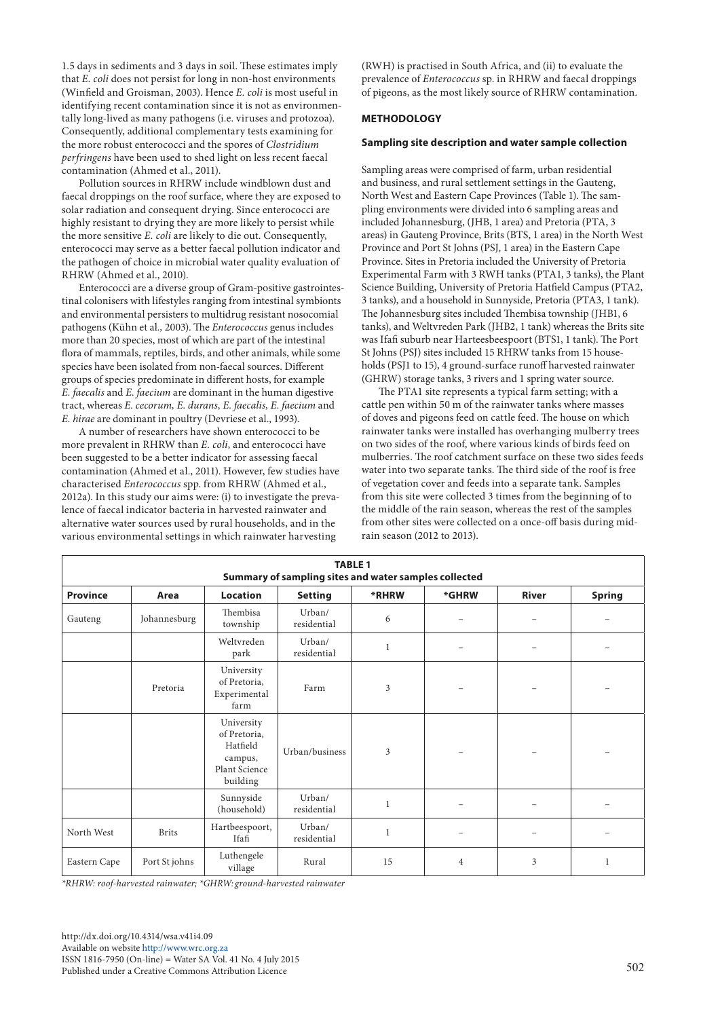1.5 days in sediments and 3 days in soil. These estimates imply that *E. coli* does not persist for long in non-host environments (Winfield and Groisman, 2003). Hence *E. coli* is most useful in identifying recent contamination since it is not as environmentally long-lived as many pathogens (i.e. viruses and protozoa). Consequently, additional complementary tests examining for the more robust enterococci and the spores of *Clostridium perfringens* have been used to shed light on less recent faecal contamination (Ahmed et al., 2011).

Pollution sources in RHRW include windblown dust and faecal droppings on the roof surface, where they are exposed to solar radiation and consequent drying. Since enterococci are highly resistant to drying they are more likely to persist while the more sensitive *E. coli* are likely to die out. Consequently, enterococci may serve as a better faecal pollution indicator and the pathogen of choice in microbial water quality evaluation of RHRW (Ahmed et al., 2010).

Enterococci are a diverse group of Gram-positive gastrointestinal colonisers with lifestyles ranging from intestinal symbionts and environmental persisters to multidrug resistant nosocomial pathogens (Kühn et al*.,* 2003). The *Enterococcus* genus includes more than 20 species, most of which are part of the intestinal flora of mammals, reptiles, birds, and other animals, while some species have been isolated from non-faecal sources. Different groups of species predominate in different hosts, for example *E. faecalis* and *E. faecium* are dominant in the human digestive tract, whereas *E. cecorum, E. durans, E. faecalis, E. faecium* and *E. hirae* are dominant in poultry (Devriese et al., 1993).

A number of researchers have shown enterococci to be more prevalent in RHRW than *E. coli*, and enterococci have been suggested to be a better indicator for assessing faecal contamination (Ahmed et al., 2011). However, few studies have characterised *Enterococcus* spp. from RHRW (Ahmed et al., 2012a). In this study our aims were: (i) to investigate the prevalence of faecal indicator bacteria in harvested rainwater and alternative water sources used by rural households, and in the various environmental settings in which rainwater harvesting

(RWH) is practised in South Africa, and (ii) to evaluate the prevalence of *Enterococcus* sp. in RHRW and faecal droppings of pigeons, as the most likely source of RHRW contamination.

## **METHODOLOGY**

#### **Sampling site description and water sample collection**

Sampling areas were comprised of farm, urban residential and business, and rural settlement settings in the Gauteng, North West and Eastern Cape Provinces (Table 1). The sampling environments were divided into 6 sampling areas and included Johannesburg, (JHB, 1 area) and Pretoria (PTA, 3 areas) in Gauteng Province, Brits (BTS, 1 area) in the North West Province and Port St Johns (PSJ, 1 area) in the Eastern Cape Province. Sites in Pretoria included the University of Pretoria Experimental Farm with 3 RWH tanks (PTA1, 3 tanks), the Plant Science Building, University of Pretoria Hatfield Campus (PTA2, 3 tanks), and a household in Sunnyside, Pretoria (PTA3, 1 tank). The Johannesburg sites included Thembisa township (JHB1, 6 tanks), and Weltvreden Park (JHB2, 1 tank) whereas the Brits site was Ifafi suburb near Harteesbeespoort (BTS1, 1 tank). The Port St Johns (PSJ) sites included 15 RHRW tanks from 15 households (PSJ1 to 15), 4 ground-surface runoff harvested rainwater (GHRW) storage tanks, 3 rivers and 1 spring water source.

The PTA1 site represents a typical farm setting; with a cattle pen within 50 m of the rainwater tanks where masses of doves and pigeons feed on cattle feed. The house on which rainwater tanks were installed has overhanging mulberry trees on two sides of the roof, where various kinds of birds feed on mulberries. The roof catchment surface on these two sides feeds water into two separate tanks. The third side of the roof is free of vegetation cover and feeds into a separate tank. Samples from this site were collected 3 times from the beginning of to the middle of the rain season, whereas the rest of the samples from other sites were collected on a once-off basis during midrain season (2012 to 2013).

| <b>TABLE 1</b><br>Summary of sampling sites and water samples collected |               |                                                                                |                          |              |                          |                          |               |
|-------------------------------------------------------------------------|---------------|--------------------------------------------------------------------------------|--------------------------|--------------|--------------------------|--------------------------|---------------|
| <b>Province</b>                                                         | Area          | <b>Location</b>                                                                | <b>Setting</b>           | *RHRW        | *GHRW                    | <b>River</b>             | <b>Spring</b> |
| Gauteng                                                                 | Johannesburg  | Thembisa<br>township                                                           | Urban/<br>residential    | 6            | $\overline{\phantom{0}}$ | -                        |               |
|                                                                         |               | Weltvreden<br>park                                                             | Urban/<br>residential    | $\mathbf{1}$ |                          |                          |               |
|                                                                         | Pretoria      | University<br>of Pretoria,<br>Experimental<br>farm                             | Farm                     | 3            |                          | $\overline{\phantom{0}}$ |               |
|                                                                         |               | University<br>of Pretoria,<br>Hatfield<br>campus,<br>Plant Science<br>building | Urban/business           | 3            |                          |                          |               |
|                                                                         |               | Sunnyside<br>(household)                                                       | Urban/<br>residential    | $\mathbf{1}$ |                          |                          |               |
| North West                                                              | <b>Brits</b>  | Hartbeespoort,<br>Ifafi                                                        | $U$ rban/<br>residential | 1            |                          |                          |               |
| Eastern Cape                                                            | Port St johns | Luthengele<br>village                                                          | Rural                    | 15           | 4                        | 3                        | 1             |

*\*RHRW: roof-harvested rainwater; \*GHRW: ground-harvested rainwater*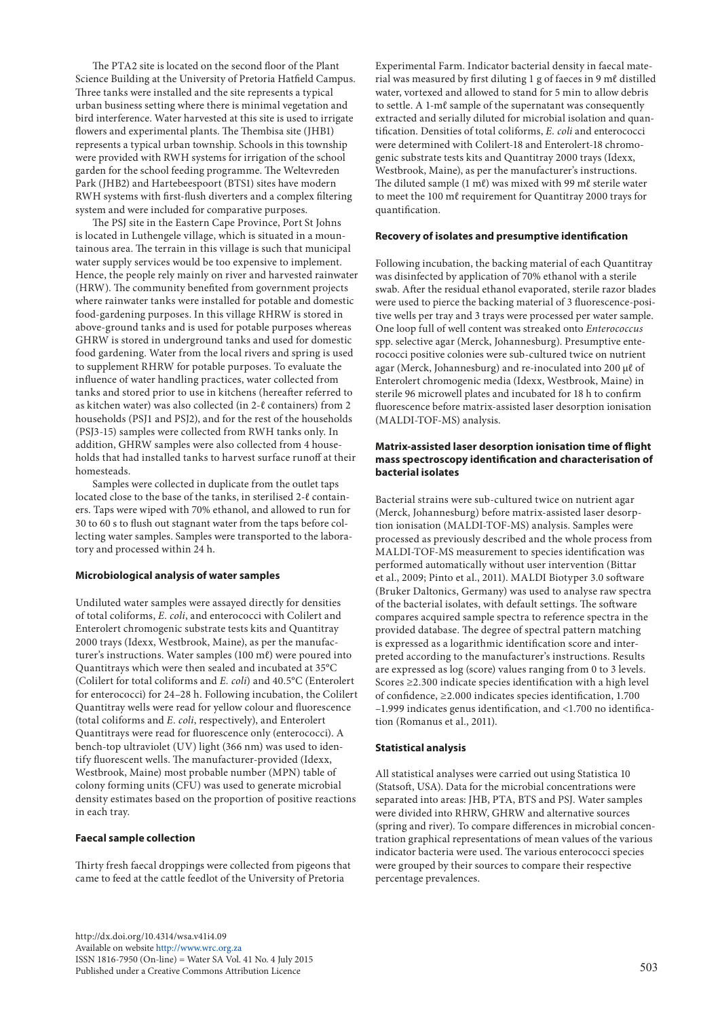The PTA2 site is located on the second floor of the Plant Science Building at the University of Pretoria Hatfield Campus. Three tanks were installed and the site represents a typical urban business setting where there is minimal vegetation and bird interference. Water harvested at this site is used to irrigate flowers and experimental plants. The Thembisa site (JHB1) represents a typical urban township. Schools in this township were provided with RWH systems for irrigation of the school garden for the school feeding programme. The Weltevreden Park (JHB2) and Hartebeespoort (BTS1) sites have modern RWH systems with first-flush diverters and a complex filtering system and were included for comparative purposes.

The PSJ site in the Eastern Cape Province, Port St Johns is located in Luthengele village, which is situated in a mountainous area. The terrain in this village is such that municipal water supply services would be too expensive to implement. Hence, the people rely mainly on river and harvested rainwater (HRW). The community benefited from government projects where rainwater tanks were installed for potable and domestic food-gardening purposes. In this village RHRW is stored in above-ground tanks and is used for potable purposes whereas GHRW is stored in underground tanks and used for domestic food gardening. Water from the local rivers and spring is used to supplement RHRW for potable purposes. To evaluate the influence of water handling practices, water collected from tanks and stored prior to use in kitchens (hereafter referred to as kitchen water) was also collected (in 2-ℓ containers) from 2 households (PSJ1 and PSJ2), and for the rest of the households (PSJ3-15) samples were collected from RWH tanks only. In addition, GHRW samples were also collected from 4 households that had installed tanks to harvest surface runoff at their homesteads.

Samples were collected in duplicate from the outlet taps located close to the base of the tanks, in sterilised 2-ℓ containers. Taps were wiped with 70% ethanol, and allowed to run for 30 to 60 s to flush out stagnant water from the taps before collecting water samples. Samples were transported to the laboratory and processed within 24 h.

## **Microbiological analysis of water samples**

Undiluted water samples were assayed directly for densities of total coliforms, *E. coli*, and enterococci with Colilert and Enterolert chromogenic substrate tests kits and Quantitray 2000 trays (Idexx, Westbrook, Maine), as per the manufacturer's instructions. Water samples (100 mℓ) were poured into Quantitrays which were then sealed and incubated at 35°C (Colilert for total coliforms and *E. coli*) and 40.5°C (Enterolert for enterococci) for 24–28 h. Following incubation, the Colilert Quantitray wells were read for yellow colour and fluorescence (total coliforms and *E. coli*, respectively), and Enterolert Quantitrays were read for fluorescence only (enterococci). A bench-top ultraviolet (UV) light (366 nm) was used to identify fluorescent wells. The manufacturer-provided (Idexx, Westbrook, Maine) most probable number (MPN) table of colony forming units (CFU) was used to generate microbial density estimates based on the proportion of positive reactions in each tray.

#### **Faecal sample collection**

Thirty fresh faecal droppings were collected from pigeons that came to feed at the cattle feedlot of the University of Pretoria

[http://dx.doi.org/10.4314/wsa.v41i4.0](http://dx.doi.org/10.4314/wsa.v41i4.09)9 Available on website<http://www.wrc.org.za> ISSN 1816-7950 (On-line) = Water SA Vol. 41 No. 4 July 2015 Published under a Creative Commons Attribution Licence

Experimental Farm. Indicator bacterial density in faecal material was measured by first diluting 1 g of faeces in 9 mℓ distilled water, vortexed and allowed to stand for 5 min to allow debris to settle. A 1-mℓ sample of the supernatant was consequently extracted and serially diluted for microbial isolation and quantification. Densities of total coliforms, *E. coli* and enterococci were determined with Colilert-18 and Enterolert-18 chromogenic substrate tests kits and Quantitray 2000 trays (Idexx, Westbrook, Maine), as per the manufacturer's instructions. The diluted sample (1 mℓ) was mixed with 99 mℓ sterile water to meet the 100 mℓ requirement for Quantitray 2000 trays for quantification.

#### **Recovery of isolates and presumptive identification**

Following incubation, the backing material of each Quantitray was disinfected by application of 70% ethanol with a sterile swab. After the residual ethanol evaporated, sterile razor blades were used to pierce the backing material of 3 fluorescence-positive wells per tray and 3 trays were processed per water sample. One loop full of well content was streaked onto *Enterococcus* spp. selective agar (Merck, Johannesburg). Presumptive enterococci positive colonies were sub-cultured twice on nutrient agar (Merck, Johannesburg) and re-inoculated into 200 µℓ of Enterolert chromogenic media (Idexx, Westbrook, Maine) in sterile 96 microwell plates and incubated for 18 h to confirm fluorescence before matrix-assisted laser desorption ionisation (MALDI-TOF-MS) analysis.

## **Matrix-assisted laser desorption ionisation time of flight mass spectroscopy identification and characterisation of bacterial isolates**

Bacterial strains were sub-cultured twice on nutrient agar (Merck, Johannesburg) before matrix-assisted laser desorption ionisation (MALDI-TOF-MS) analysis. Samples were processed as previously described and the whole process from MALDI-TOF-MS measurement to species identification was performed automatically without user intervention (Bittar et al., 2009; Pinto et al., 2011). MALDI Biotyper 3.0 software (Bruker Daltonics, Germany) was used to analyse raw spectra of the bacterial isolates, with default settings. The software compares acquired sample spectra to reference spectra in the provided database. The degree of spectral pattern matching is expressed as a logarithmic identification score and interpreted according to the manufacturer's instructions. Results are expressed as log (score) values ranging from 0 to 3 levels. Scores ≥2.300 indicate species identification with a high level of confidence, ≥2.000 indicates species identification, 1.700 –1.999 indicates genus identification, and <1.700 no identification (Romanus et al., 2011).

## **Statistical analysis**

All statistical analyses were carried out using Statistica 10 (Statsoft, USA). Data for the microbial concentrations were separated into areas: JHB, PTA, BTS and PSJ. Water samples were divided into RHRW, GHRW and alternative sources (spring and river). To compare differences in microbial concentration graphical representations of mean values of the various indicator bacteria were used. The various enterococci species were grouped by their sources to compare their respective percentage prevalences.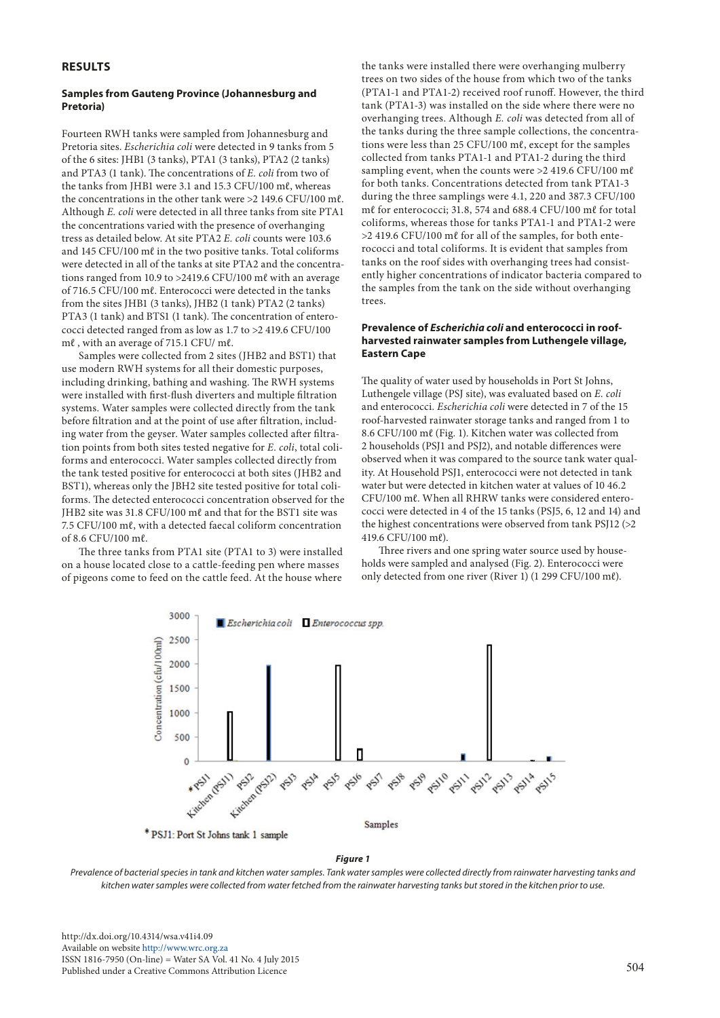## **RESULTS**

#### **Samples from Gauteng Province (Johannesburg and Pretoria)**

Fourteen RWH tanks were sampled from Johannesburg and Pretoria sites. *Escherichia coli* were detected in 9 tanks from 5 of the 6 sites: JHB1 (3 tanks), PTA1 (3 tanks), PTA2 (2 tanks) and PTA3 (1 tank). The concentrations of *E. coli* from two of the tanks from JHB1 were 3.1 and 15.3 CFU/100 mℓ, whereas the concentrations in the other tank were >2 149.6 CFU/100 mℓ. Although *E. coli* were detected in all three tanks from site PTA1 the concentrations varied with the presence of overhanging tress as detailed below. At site PTA2 *E. coli* counts were 103.6 and 145 CFU/100 mℓ in the two positive tanks. Total coliforms were detected in all of the tanks at site PTA2 and the concentrations ranged from 10.9 to >2419.6 CFU/100 mℓ with an average of 716.5 CFU/100 mℓ. Enterococci were detected in the tanks from the sites JHB1 (3 tanks), JHB2 (1 tank) PTA2 (2 tanks) PTA3 (1 tank) and BTS1 (1 tank). The concentration of enterococci detected ranged from as low as 1.7 to >2 419.6 CFU/100 mℓ , with an average of 715.1 CFU/ mℓ.

Samples were collected from 2 sites (JHB2 and BST1) that use modern RWH systems for all their domestic purposes, including drinking, bathing and washing. The RWH systems were installed with first-flush diverters and multiple filtration systems. Water samples were collected directly from the tank before filtration and at the point of use after filtration, including water from the geyser. Water samples collected after filtration points from both sites tested negative for *E. coli*, total coliforms and enterococci. Water samples collected directly from the tank tested positive for enterococci at both sites (JHB2 and BST1), whereas only the JBH2 site tested positive for total coliforms. The detected enterococci concentration observed for the JHB2 site was 31.8 CFU/100 mℓ and that for the BST1 site was 7.5 CFU/100 mℓ, with a detected faecal coliform concentration of 8.6 CFU/100 mℓ.

The three tanks from PTA1 site (PTA1 to 3) were installed on a house located close to a cattle-feeding pen where masses of pigeons come to feed on the cattle feed. At the house where

the tanks were installed there were overhanging mulberry trees on two sides of the house from which two of the tanks (PTA1-1 and PTA1-2) received roof runoff. However, the third tank (PTA1-3) was installed on the side where there were no overhanging trees. Although *E. coli* was detected from all of the tanks during the three sample collections, the concentrations were less than 25 CFU/100 mℓ, except for the samples collected from tanks PTA1-1 and PTA1-2 during the third sampling event, when the counts were >2 419.6 CFU/100 ml for both tanks. Concentrations detected from tank PTA1-3 during the three samplings were 4.1, 220 and 387.3 CFU/100 mℓ for enterococci; 31.8, 574 and 688.4 CFU/100 mℓ for total coliforms, whereas those for tanks PTA1-1 and PTA1-2 were >2 419.6 CFU/100 mℓ for all of the samples, for both enterococci and total coliforms. It is evident that samples from tanks on the roof sides with overhanging trees had consistently higher concentrations of indicator bacteria compared to the samples from the tank on the side without overhanging trees.

## **Prevalence of** *Escherichia coli* **and enterococci in roofharvested rainwater samples from Luthengele village, Eastern Cape**

The quality of water used by households in Port St Johns, Luthengele village (PSJ site), was evaluated based on *E. coli* and enterococci*. Escherichia coli* were detected in 7 of the 15 roof-harvested rainwater storage tanks and ranged from 1 to 8.6 CFU/100 mℓ (Fig. 1). Kitchen water was collected from 2 households (PSJ1 and PSJ2), and notable differences were observed when it was compared to the source tank water quality. At Household PSJ1, enterococci were not detected in tank water but were detected in kitchen water at values of 10 46.2 CFU/100 mℓ. When all RHRW tanks were considered enterococci were detected in 4 of the 15 tanks (PSJ5, 6, 12 and 14) and the highest concentrations were observed from tank PSJ12 (>2 419.6 CFU/100 mℓ).

Three rivers and one spring water source used by households were sampled and analysed (Fig. 2). Enterococci were only detected from one river (River 1) (1 299 CFU/100 mℓ).



*Figure 1*

Prevalence of bacterial species in tank and kitchen water samples. Tank water samples were collected directly from rainwater harvesting tanks and kitchen water samples were collected from water fetched from the rainwater harvesting tanks but stored in the kitchen prior to use.

[http://dx.doi.org/10.4314/wsa.v41i4.](http://dx.doi.org/10.4314/wsa.v41i4.09)09 Available on website <http://www.wrc.org.za> ISSN 1816-7950 (On-line) = Water SA Vol. 41 No. 4 July 2015 Published under a Creative Commons Attribution Licence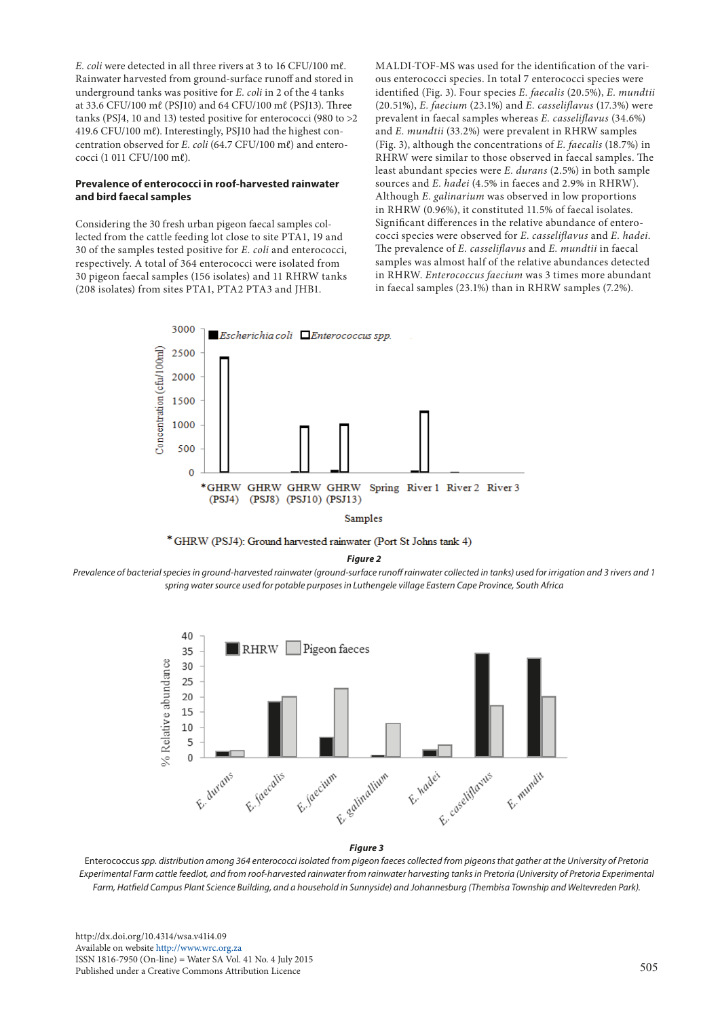*E. coli* were detected in all three rivers at 3 to 16 CFU/100 mℓ. Rainwater harvested from ground-surface runoff and stored in underground tanks was positive for *E. coli* in 2 of the 4 tanks at 33.6 CFU/100 mℓ (PSJ10) and 64 CFU/100 mℓ (PSJ13). Three tanks (PSJ4, 10 and 13) tested positive for enterococci (980 to >2 419.6 CFU/100 mℓ). Interestingly, PSJ10 had the highest concentration observed for *E. coli* (64.7 CFU/100 mℓ) and enterococci (1 011 CFU/100 mℓ).

## **Prevalence of enterococci in roof-harvested rainwater and bird faecal samples**

Considering the 30 fresh urban pigeon faecal samples collected from the cattle feeding lot close to site PTA1, 19 and 30 of the samples tested positive for *E. coli* and enterococci, respectively. A total of 364 enterococci were isolated from 30 pigeon faecal samples (156 isolates) and 11 RHRW tanks (208 isolates) from sites PTA1, PTA2 PTA3 and JHB1.

MALDI-TOF-MS was used for the identification of the various enterococci species. In total 7 enterococci species were identified (Fig. 3). Four species *E. faecalis* (20.5%), *E. mundtii*  (20.51%), *E. faecium* (23.1%) and *E. casseliflavus* (17.3%) were prevalent in faecal samples whereas *E. casseliflavus* (34.6%) and *E. mundtii* (33.2%) were prevalent in RHRW samples (Fig. 3), although the concentrations of *E. faecalis* (18.7%) in RHRW were similar to those observed in faecal samples. The least abundant species were *E. durans* (2.5%) in both sample sources and *E. hadei* (4.5% in faeces and 2.9% in RHRW). Although *E. galinarium* was observed in low proportions in RHRW (0.96%), it constituted 11.5% of faecal isolates. Significant differences in the relative abundance of enterococci species were observed for *E. casseliflavus* and *E. hadei*. The prevalence of *E. casseliflavus* and *E. mundtii* in faecal samples was almost half of the relative abundances detected in RHRW. *Enterococcus faecium* was 3 times more abundant in faecal samples (23.1%) than in RHRW samples (7.2%).



\*GHRW (PSJ4): Ground harvested rainwater (Port St Johns tank 4)

#### *Figure 2*





*Figure 3*

Enterococcus spp. distribution among 364 enterococci isolated from pigeon faeces collected from pigeons that gather at the University of Pretoria Experimental Farm cattle feedlot, and from roof-harvested rainwater from rainwater harvesting tanks in Pretoria (University of Pretoria Experimental Farm, Hatfield Campus Plant Science Building, and a household in Sunnyside) and Johannesburg (Thembisa Township and Weltevreden Park).

[http://dx.doi.org/10.4314/wsa.v41i4.0](http://dx.doi.org/10.4314/wsa.v41i4.09)9 nttp://dx.doi.org/10.4514/wsa.v4114.09<br>Available on website<http://www.wrc.org.za> ISSN 1816-7950 (On-line) = Water SA Vol. 41 No. 4 July 2015 Published under a Creative Commons Attribution Licence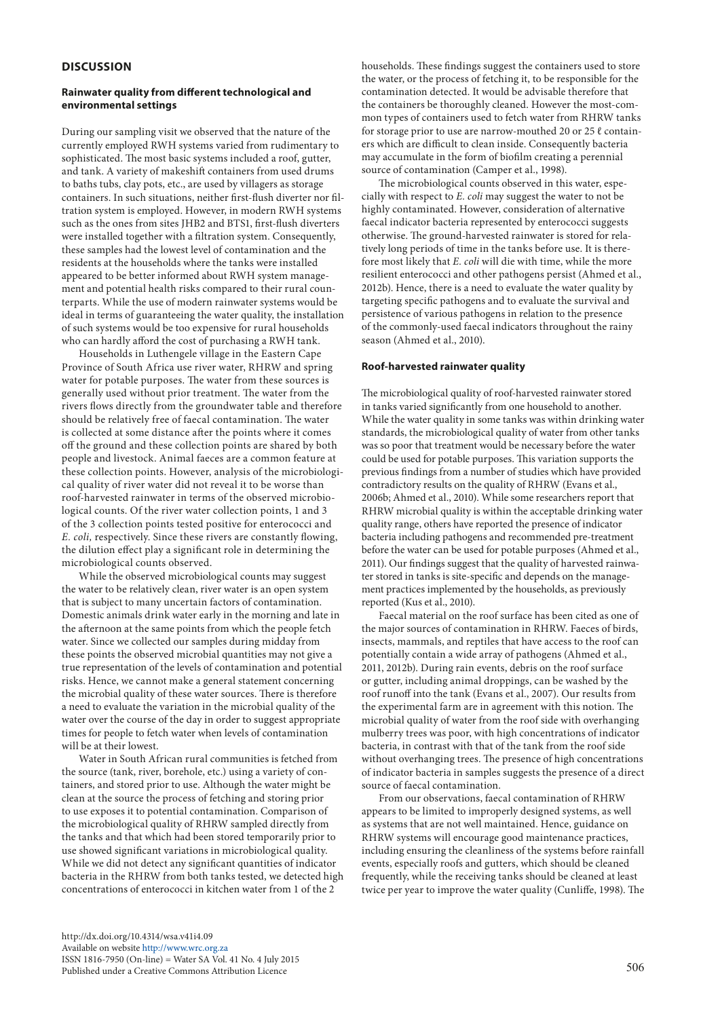#### **DISCUSSION**

#### **Rainwater quality from different technological and environmental settings**

During our sampling visit we observed that the nature of the currently employed RWH systems varied from rudimentary to sophisticated. The most basic systems included a roof, gutter, and tank. A variety of makeshift containers from used drums to baths tubs, clay pots, etc., are used by villagers as storage containers. In such situations, neither first-flush diverter nor filtration system is employed. However, in modern RWH systems such as the ones from sites JHB2 and BTS1, first-flush diverters were installed together with a filtration system. Consequently, these samples had the lowest level of contamination and the residents at the households where the tanks were installed appeared to be better informed about RWH system management and potential health risks compared to their rural counterparts. While the use of modern rainwater systems would be ideal in terms of guaranteeing the water quality, the installation of such systems would be too expensive for rural households who can hardly afford the cost of purchasing a RWH tank.

Households in Luthengele village in the Eastern Cape Province of South Africa use river water, RHRW and spring water for potable purposes. The water from these sources is generally used without prior treatment. The water from the rivers flows directly from the groundwater table and therefore should be relatively free of faecal contamination. The water is collected at some distance after the points where it comes off the ground and these collection points are shared by both people and livestock. Animal faeces are a common feature at these collection points. However, analysis of the microbiological quality of river water did not reveal it to be worse than roof-harvested rainwater in terms of the observed microbiological counts. Of the river water collection points, 1 and 3 of the 3 collection points tested positive for enterococci and *E. coli,* respectively. Since these rivers are constantly flowing, the dilution effect play a significant role in determining the microbiological counts observed.

While the observed microbiological counts may suggest the water to be relatively clean, river water is an open system that is subject to many uncertain factors of contamination. Domestic animals drink water early in the morning and late in the afternoon at the same points from which the people fetch water. Since we collected our samples during midday from these points the observed microbial quantities may not give a true representation of the levels of contamination and potential risks. Hence, we cannot make a general statement concerning the microbial quality of these water sources. There is therefore a need to evaluate the variation in the microbial quality of the water over the course of the day in order to suggest appropriate times for people to fetch water when levels of contamination will be at their lowest.

Water in South African rural communities is fetched from the source (tank, river, borehole, etc.) using a variety of containers, and stored prior to use. Although the water might be clean at the source the process of fetching and storing prior to use exposes it to potential contamination. Comparison of the microbiological quality of RHRW sampled directly from the tanks and that which had been stored temporarily prior to use showed significant variations in microbiological quality. While we did not detect any significant quantities of indicator bacteria in the RHRW from both tanks tested, we detected high concentrations of enterococci in kitchen water from 1 of the 2

households. These findings suggest the containers used to store the water, or the process of fetching it, to be responsible for the contamination detected. It would be advisable therefore that the containers be thoroughly cleaned. However the most-common types of containers used to fetch water from RHRW tanks for storage prior to use are narrow-mouthed 20 or 25  $\ell$  containers which are difficult to clean inside. Consequently bacteria may accumulate in the form of biofilm creating a perennial source of contamination (Camper et al., 1998).

The microbiological counts observed in this water, especially with respect to *E. coli* may suggest the water to not be highly contaminated. However, consideration of alternative faecal indicator bacteria represented by enterococci suggests otherwise. The ground-harvested rainwater is stored for relatively long periods of time in the tanks before use. It is therefore most likely that *E. coli* will die with time, while the more resilient enterococci and other pathogens persist (Ahmed et al., 2012b). Hence, there is a need to evaluate the water quality by targeting specific pathogens and to evaluate the survival and persistence of various pathogens in relation to the presence of the commonly-used faecal indicators throughout the rainy season (Ahmed et al., 2010).

## **Roof-harvested rainwater quality**

The microbiological quality of roof-harvested rainwater stored in tanks varied significantly from one household to another. While the water quality in some tanks was within drinking water standards, the microbiological quality of water from other tanks was so poor that treatment would be necessary before the water could be used for potable purposes. This variation supports the previous findings from a number of studies which have provided contradictory results on the quality of RHRW (Evans et al., 2006b; Ahmed et al., 2010). While some researchers report that RHRW microbial quality is within the acceptable drinking water quality range, others have reported the presence of indicator bacteria including pathogens and recommended pre-treatment before the water can be used for potable purposes (Ahmed et al., 2011). Our findings suggest that the quality of harvested rainwater stored in tanks is site-specific and depends on the management practices implemented by the households, as previously reported (Kus et al., 2010).

Faecal material on the roof surface has been cited as one of the major sources of contamination in RHRW. Faeces of birds, insects, mammals, and reptiles that have access to the roof can potentially contain a wide array of pathogens (Ahmed et al., 2011, 2012b). During rain events, debris on the roof surface or gutter, including animal droppings, can be washed by the roof runoff into the tank (Evans et al., 2007). Our results from the experimental farm are in agreement with this notion. The microbial quality of water from the roof side with overhanging mulberry trees was poor, with high concentrations of indicator bacteria, in contrast with that of the tank from the roof side without overhanging trees. The presence of high concentrations of indicator bacteria in samples suggests the presence of a direct source of faecal contamination.

From our observations, faecal contamination of RHRW appears to be limited to improperly designed systems, as well as systems that are not well maintained. Hence, guidance on RHRW systems will encourage good maintenance practices, including ensuring the cleanliness of the systems before rainfall events, especially roofs and gutters, which should be cleaned frequently, while the receiving tanks should be cleaned at least twice per year to improve the water quality (Cunliffe, 1998). The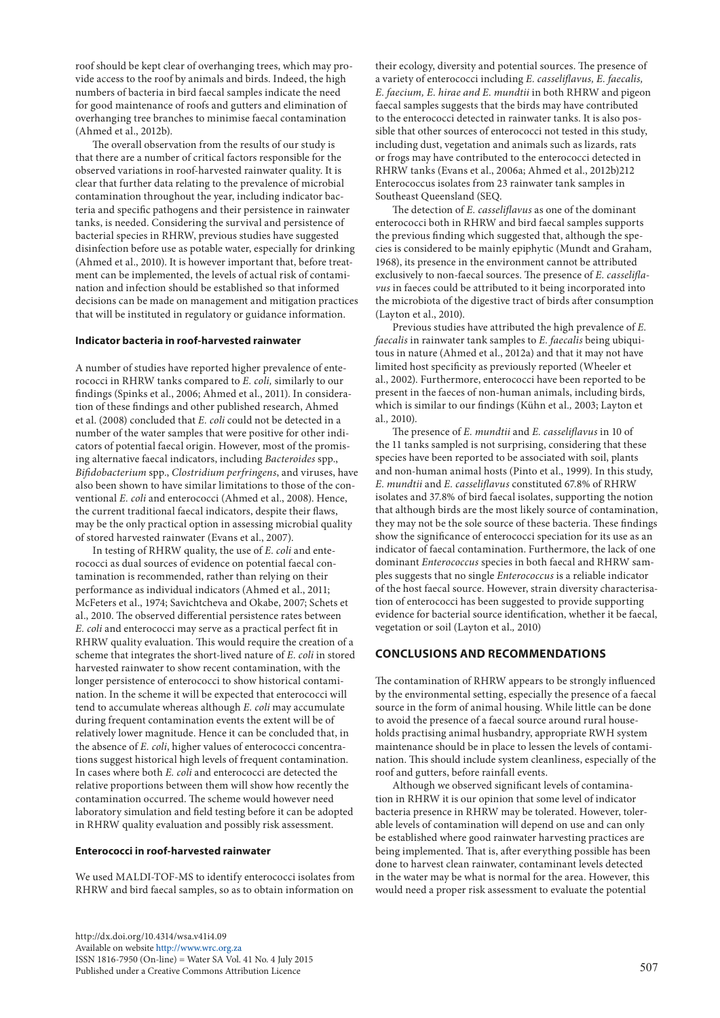roof should be kept clear of overhanging trees, which may provide access to the roof by animals and birds. Indeed, the high numbers of bacteria in bird faecal samples indicate the need for good maintenance of roofs and gutters and elimination of overhanging tree branches to minimise faecal contamination (Ahmed et al., 2012b).

The overall observation from the results of our study is that there are a number of critical factors responsible for the observed variations in roof-harvested rainwater quality. It is clear that further data relating to the prevalence of microbial contamination throughout the year, including indicator bacteria and specific pathogens and their persistence in rainwater tanks, is needed. Considering the survival and persistence of bacterial species in RHRW, previous studies have suggested disinfection before use as potable water, especially for drinking (Ahmed et al., 2010). It is however important that, before treatment can be implemented, the levels of actual risk of contamination and infection should be established so that informed decisions can be made on management and mitigation practices that will be instituted in regulatory or guidance information.

#### **Indicator bacteria in roof-harvested rainwater**

A number of studies have reported higher prevalence of enterococci in RHRW tanks compared to *E. coli,* similarly to our findings (Spinks et al., 2006; Ahmed et al., 2011). In consideration of these findings and other published research, Ahmed et al. (2008) concluded that *E. coli* could not be detected in a number of the water samples that were positive for other indicators of potential faecal origin. However, most of the promising alternative faecal indicators, including *Bacteroides* spp., *Bifidobacterium* spp., *Clostridium perfringens*, and viruses, have also been shown to have similar limitations to those of the conventional *E. coli* and enterococci (Ahmed et al., 2008). Hence, the current traditional faecal indicators, despite their flaws, may be the only practical option in assessing microbial quality of stored harvested rainwater (Evans et al., 2007).

In testing of RHRW quality, the use of *E. coli* and enterococci as dual sources of evidence on potential faecal contamination is recommended, rather than relying on their performance as individual indicators (Ahmed et al., 2011; McFeters et al., 1974; Savichtcheva and Okabe, 2007; Schets et al., 2010. The observed differential persistence rates between *E. coli* and enterococci may serve as a practical perfect fit in RHRW quality evaluation. This would require the creation of a scheme that integrates the short-lived nature of *E. coli* in stored harvested rainwater to show recent contamination, with the longer persistence of enterococci to show historical contamination. In the scheme it will be expected that enterococci will tend to accumulate whereas although *E. coli* may accumulate during frequent contamination events the extent will be of relatively lower magnitude. Hence it can be concluded that, in the absence of *E. coli*, higher values of enterococci concentrations suggest historical high levels of frequent contamination. In cases where both *E. coli* and enterococci are detected the relative proportions between them will show how recently the contamination occurred. The scheme would however need laboratory simulation and field testing before it can be adopted in RHRW quality evaluation and possibly risk assessment.

## **Enterococci in roof-harvested rainwater**

We used MALDI-TOF-MS to identify enterococci isolates from RHRW and bird faecal samples, so as to obtain information on

their ecology, diversity and potential sources. The presence of a variety of enterococci including *E. casseliflavus, E. faecalis, E. faecium, E. hirae and E. mundtii* in both RHRW and pigeon faecal samples suggests that the birds may have contributed to the enterococci detected in rainwater tanks. It is also possible that other sources of enterococci not tested in this study, including dust, vegetation and animals such as lizards, rats or frogs may have contributed to the enterococci detected in RHRW tanks (Evans et al., 2006a; Ahmed et al., 2012b)212 Enterococcus isolates from 23 rainwater tank samples in Southeast Queensland (SEQ. The detection of *E. casseliflavus* as one of the dominant

enterococci both in RHRW and bird faecal samples supports the previous finding which suggested that, although the species is considered to be mainly epiphytic (Mundt and Graham, 1968), its presence in the environment cannot be attributed exclusively to non-faecal sources. The presence of *E. casseliflavus* in faeces could be attributed to it being incorporated into the microbiota of the digestive tract of birds after consumption (Layton et al., 2010).

Previous studies have attributed the high prevalence of *E. faecalis* in rainwater tank samples to *E. faecalis* being ubiquitous in nature (Ahmed et al., 2012a) and that it may not have limited host specificity as previously reported (Wheeler et al., 2002). Furthermore, enterococci have been reported to be present in the faeces of non-human animals, including birds, which is similar to our findings (Kühn et al*.,* 2003; Layton et al*.,* 2010).

The presence of *E. mundtii* and *E. casseliflavus* in 10 of the 11 tanks sampled is not surprising, considering that these species have been reported to be associated with soil, plants and non-human animal hosts (Pinto et al., 1999). In this study, *E. mundtii* and *E. casseliflavus* constituted 67.8% of RHRW isolates and 37.8% of bird faecal isolates, supporting the notion that although birds are the most likely source of contamination, they may not be the sole source of these bacteria. These findings show the significance of enterococci speciation for its use as an indicator of faecal contamination. Furthermore, the lack of one dominant *Enterococcus* species in both faecal and RHRW samples suggests that no single *Enterococcus* is a reliable indicator of the host faecal source. However, strain diversity characterisation of enterococci has been suggested to provide supporting evidence for bacterial source identification, whether it be faecal, vegetation or soil (Layton et al.*,* 2010)

## **CONCLUSIONS AND RECOMMENDATIONS**

The contamination of RHRW appears to be strongly influenced by the environmental setting, especially the presence of a faecal source in the form of animal housing. While little can be done to avoid the presence of a faecal source around rural households practising animal husbandry, appropriate RWH system maintenance should be in place to lessen the levels of contamination. This should include system cleanliness, especially of the roof and gutters, before rainfall events.

Although we observed significant levels of contamination in RHRW it is our opinion that some level of indicator bacteria presence in RHRW may be tolerated. However, tolerable levels of contamination will depend on use and can only be established where good rainwater harvesting practices are being implemented. That is, after everything possible has been done to harvest clean rainwater, contaminant levels detected in the water may be what is normal for the area. However, this would need a proper risk assessment to evaluate the potential